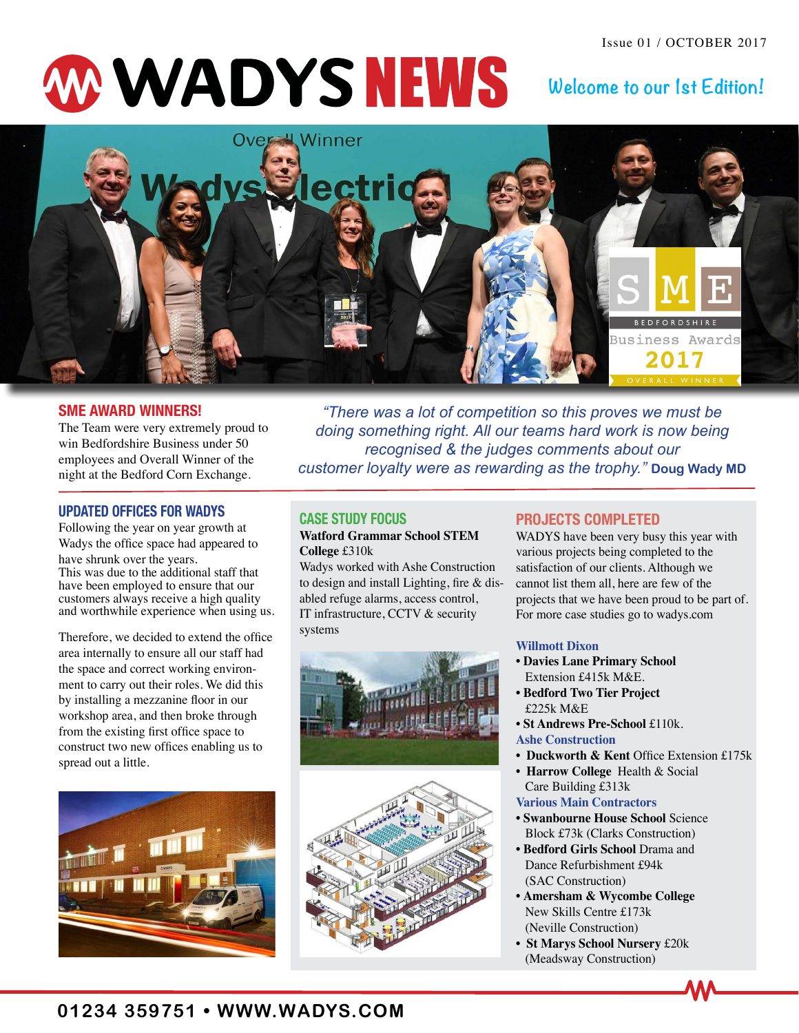# **W WADYS NEWS**

# **Welcome to our 1st Edition!**



### **SME AWARD WINNERS!**

The Team were very extremely proud to win Bedfordshire Business under 50 employees and Overall Winner of the night at the Bedford Corn Exchange.

## **UPDATED OFFICES FOR WADYS**

Following the year on year growth at Wadys the office space had appeared to have shrunk over the years. This was due to the additional staff that have been employed to ensure that our customers always receive a high quality and worthwhile experience when using us.

Therefore, we decided to extend the office area internally to ensure all our staff had the space and correct working environment to carry out their roles. We did this by installing a mezzanine floor in our workshop area, and then broke through from the existing first office space to construct two new offices enabling us to spread out a little.



*"There was a lot of competition so this proves we must be doing something right. All our teams hard work is now being recognised & the judges comments about our customer loyalty were as rewarding as the trophy."* **Doug Wady MD**

# **CASE STUDY FOCUS**

#### **Watford Grammar School STEM College** £310k

Wadys worked with Ashe Construction to design and install Lighting, fire & disabled refuge alarms, access control, IT infrastructure, CCTV & security systems





# **PROJECTS COMPLETED**

WADYS have been very busy this year with various projects being completed to the satisfaction of our clients. Although we cannot list them all, here are few of the projects that we have been proud to be part of. For more case studies go to wadys.com

#### **Willmott Dixon**

- **Davies Lane Primary School** Extension £415k M&E.
- **Bedford Two Tier Project** £225k M&E
- **St Andrews Pre-School** £110k.
- **Ashe Construction**
- **Duckworth & Kent** Office Extension £175k
- **Harrow College** Health & Social Care Building £313k
- **Various Main Contractors**
- **Swanbourne House School** Science Block £73k (Clarks Construction)
- **Bedford Girls School** Drama and Dance Refurbishment £94k (SAC Construction)
- **Amersham & Wycombe College** New Skills Centre £173k (Neville Construction)
- **St Marys School Nursery** £20k (Meadsway Construction)